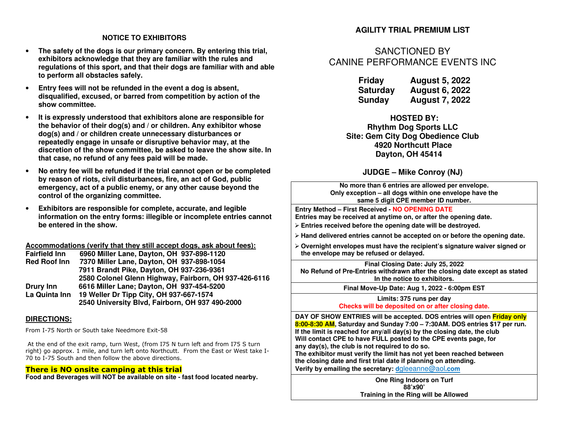#### **NOTICE TO EXHIBITORS**

- • **The safety of the dogs is our primary concern. By entering this trial, exhibitors acknowledge that they are familiar with the rules and regulations of this sport, and that their dogs are familiar with and able to perform all obstacles safely.**
- • **Entry fees will not be refunded in the event a dog is absent, disqualified, excused, or barred from competition by action of the show committee.**
- • **It is expressly understood that exhibitors alone are responsible for the behavior of their dog(s) and / or children. Any exhibitor whose dog(s) and / or children create unnecessary disturbances or repeatedly engage in unsafe or disruptive behavior may, at the discretion of the show committee, be asked to leave the show site. In that case, no refund of any fees paid will be made.**
- • **No entry fee will be refunded if the trial cannot open or be completed by reason of riots, civil disturbances, fire, an act of God, public emergency, act of a public enemy, or any other cause beyond the control of the organizing committee.**
- • **Exhibitors are responsible for complete, accurate, and legible information on the entry forms: illegible or incomplete entries cannot be entered in the show.**

**Accommodations (verify that they still accept dogs, ask about fees):** 

| <b>Fairfield Inn</b> | 6960 Miller Lane, Dayton, OH 937-898-1120             |
|----------------------|-------------------------------------------------------|
| <b>Red Roof Inn</b>  | 7370 Miller Lane, Dayton, OH 937-898-1054             |
|                      | 7911 Brandt Pike, Dayton, OH 937-236-9361             |
|                      | 2580 Colonel Glenn Highway, Fairborn, OH 937-426-6116 |
| Drury Inn            | 6616 Miller Lane; Dayton, OH 937-454-5200             |
| La Quinta Inn        | 19 Weller Dr Tipp City, OH 937-667-1574               |
|                      | 2540 University Blvd, Fairborn, OH 937 490-2000       |

#### **DIRECTIONS:**

From I-75 North or South take Needmore Exit-58

 At the end of the exit ramp, turn West, (from I75 N turn left and from I75 S turn right) go approx. 1 mile, and turn left onto Northcutt. From the East or West take I-70 to I-75 South and then follow the above directions.

#### **There is NO onsite camping at this trial**

**Food and Beverages will NOT be available on site - fast food located nearby.** 

### **AGILITY TRIAL PREMIUM LIST**

# SANCTIONED BYCANINE PERFORMANCE EVENTS INC

| Friday          | <b>August 5, 2022</b> |
|-----------------|-----------------------|
| <b>Saturday</b> | <b>August 6, 2022</b> |
| Sunday          | <b>August 7, 2022</b> |

**HOSTED BY: Rhythm Dog Sports LLC Site: Gem City Dog Obedience Club 4920 Northcutt Place Dayton, OH 45414** 

**JUDGE – Mike Conroy (NJ)** 

| No more than 6 entries are allowed per envelope.       |
|--------------------------------------------------------|
| Only exception – all dogs within one envelope have the |
| same 5 digit CPE member ID number.                     |
|                                                        |

**Entry Method – First Received - NO OPENING DATE Entries may be received at anytime on, or after the opening date.** 

**Entries received before the opening date will be destroyed.** 

- **Hand delivered entries cannot be accepted on or before the opening date.**
- **Overnight envelopes must have the recipient's signature waiver signed or the envelope may be refused or delayed.**

**Final Closing Date: July 25, 2022 No Refund of Pre-Entries withdrawn after the closing date except as stated In the notice to exhibitors.**

**Final Move-Up Date: Aug 1, 2022 - 6:00pm EST**

**Limits: 375 runs per day Checks will be deposited on or after closing date.**

**DAY OF SHOW ENTRIES will be accepted. DOS entries will open Friday only 8:00-8:30 AM, Saturday and Sunday 7:00 – 7:30AM. DOS entries \$17 per run. If the limit is reached for any/all day(s) by the closing date, the club Will contact CPE to have FULL posted to the CPE events page, for any day(s), the club is not required to do so.** 

 **The exhibitor must verify the limit has not yet been reached between the closing date and first trial date if planning on attending. Verify by emailing the secretary: d**gleeanne@aol**.com**

> **One Ring Indoors on Turf 88'x90' Training in the Ring will be Allowed**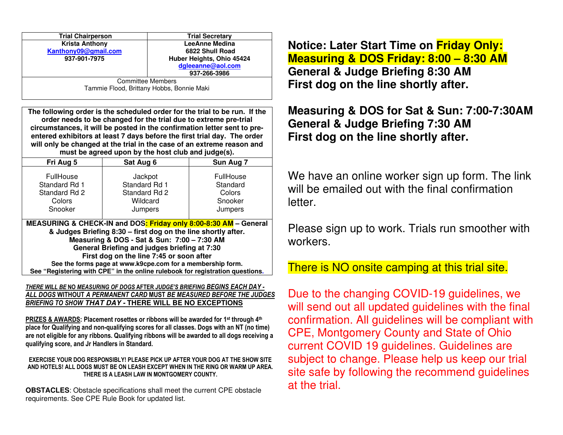| <b>Trial Chairperson</b>                                                                                                                                                                                                                                                | <b>Trial Secretary</b>    |  |  |  |  |
|-------------------------------------------------------------------------------------------------------------------------------------------------------------------------------------------------------------------------------------------------------------------------|---------------------------|--|--|--|--|
| <b>Krista Anthony</b>                                                                                                                                                                                                                                                   | LeeAnne Medina            |  |  |  |  |
| Kanthony09@gmail.com                                                                                                                                                                                                                                                    | 6822 Shull Road           |  |  |  |  |
| 937-901-7975                                                                                                                                                                                                                                                            | Huber Heights, Ohio 45424 |  |  |  |  |
|                                                                                                                                                                                                                                                                         | dgleeanne@aol.com         |  |  |  |  |
|                                                                                                                                                                                                                                                                         | 937-266-3986              |  |  |  |  |
| <b>Committee Members</b><br>$\blacksquare$ , $\blacksquare$ , $\blacksquare$ , $\blacksquare$ , $\blacksquare$ , $\blacksquare$ , $\blacksquare$ , $\blacksquare$ , $\blacksquare$ , $\blacksquare$ , $\blacksquare$ , $\blacksquare$ , $\blacksquare$ , $\blacksquare$ |                           |  |  |  |  |

Tammie Flood, Brittany Hobbs, Bonnie Maki

**The following order is the scheduled order for the trial to be run. If the order needs to be changed for the trial due to extreme pre-trial circumstances, it will be posted in the confirmation letter sent to preentered exhibitors at least 7 days before the first trial day. The order will only be changed at the trial in the case of an extreme reason and must be agreed upon by the host club and judge(s).** 

| .                                                                                                                                                                                                                                                                                          |                                                                  |                                                       |  |  |  |  |  |  |
|--------------------------------------------------------------------------------------------------------------------------------------------------------------------------------------------------------------------------------------------------------------------------------------------|------------------------------------------------------------------|-------------------------------------------------------|--|--|--|--|--|--|
| Fri Aug 5                                                                                                                                                                                                                                                                                  | Sat Aug 6                                                        | Sun Aug 7                                             |  |  |  |  |  |  |
| FullHouse<br>Standard Rd 1<br>Standard Rd 2<br>Colors<br>Snooker                                                                                                                                                                                                                           | Jackpot<br>Standard Rd 1<br>Standard Rd 2<br>Wildcard<br>Jumpers | FullHouse<br>Standard<br>Colors<br>Snooker<br>Jumpers |  |  |  |  |  |  |
| MEASURING & CHECK-IN and DOS <mark>: Friday only 8:00-8:30 AM</mark> - General<br>& Judges Briefing 8:30 - first dog on the line shortly after.<br>Measuring & DOS - Sat & Sun: 7:00 - 7:30 AM<br>General Briefing and judges briefing at 7:30<br>First dog on the line 7:45 or soon after |                                                                  |                                                       |  |  |  |  |  |  |

 **See the forms page at www.k9cpe.com for a membership form. See "Registering with CPE" in the online rulebook for registration questions.**

#### *THERE WILL BE* **NO** *MEASURING OF DOGS* **AFTER** *JUDGE'S BRIEFING BEGINS EACH DAY - ALL DOGS* **WITHOUT** *A PERMANENT CARD* **MUST** *BE MEASURED BEFORE THE JUDGES BRIEFING TO SHOW* **THAT DAY - THERE WILL BE NO EXCEPTIONS**

**PRIZES & AWARDS: Placement rosettes or ribbons will be awarded for 1st through 4th place for Qualifying and non-qualifying scores for all classes. Dogs with an NT (no time) are not eligible for any ribbons. Qualifying ribbons will be awarded to all dogs receiving a qualifying score, and Jr Handlers in Standard.** 

#### **EXERCISE YOUR DOG RESPONSIBLY! PLEASE PICK UP AFTER YOUR DOG AT THE SHOW SITE AND HOTELS! ALL DOGS MUST BE ON LEASH EXCEPT WHEN IN THE RING OR WARM UP AREA. THERE IS A LEASH LAW IN MONTGOMERY COUNTY.**

**OBSTACLES**: Obstacle specifications shall meet the current CPE obstacle requirements. See CPE Rule Book for updated list.

**Notice: Later Start Time on Friday Only: Measuring & DOS Friday: 8:00 – 8:30 AM General & Judge Briefing 8:30 AM First dog on the line shortly after.** 

**Measuring & DOS for Sat & Sun: 7:00-7:30AM General & Judge Briefing 7:30 AM First dog on the line shortly after.** 

We have an online worker sign up form. The link will be emailed out with the final confirmation letter.

Please sign up to work. Trials run smoother with workers.

There is NO onsite camping at this trial site.

Due to the changing COVID-19 guidelines, we will send out all updated guidelines with the final confirmation. All guidelines will be compliant with CPE, Montgomery County and State of Ohio current COVID 19 guidelines. Guidelines are subject to change. Please help us keep our trial site safe by following the recommend guidelines at the trial.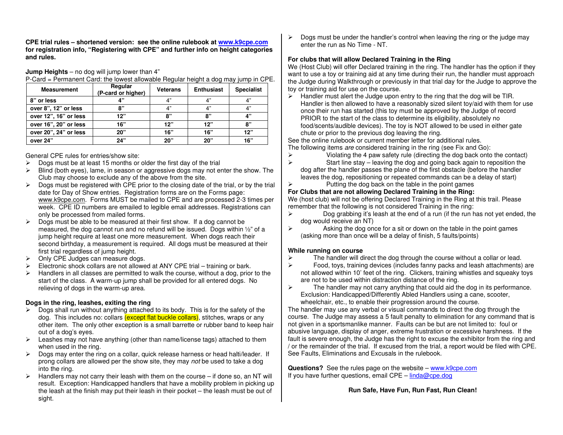**CPE trial rules – shortened version: see the online rulebook at www.k9cpe.com for registration info, "Registering with CPE" and further info on height categories and rules.**

**Jump Heights** – no dog will jump lower than 4"

P-Card = Permanent Card: the lowest allowable Regular height a dog may jump in CPE.

| <b>Measurement</b>    | Regular<br>(P-card or higher) | <b>Veterans</b> | <b>Enthusiast</b> | <b>Specialist</b> |
|-----------------------|-------------------------------|-----------------|-------------------|-------------------|
| 8" or less            | יי 1                          | 4"              | 4"                | 4"                |
| over 8", 12" or less  | "י                            | 4"              | 4"                | 4"                |
| over 12", 16" or less | 12"                           | "י              | "י                | 4"                |
| over 16", 20" or less | 16"                           | 12"             | 12"               | 8"                |
| over 20", 24" or less | 20"                           | 16"             | 16"               | 12"               |
| over 24"              | 24"                           | 20"             | 20"               | 16"               |

General CPE rules for entries/show site:

- $\triangleright$  Dogs must be at least 15 months or older the first day of the trial
- $\triangleright$  Blind (both eyes), lame, in season or aggressive dogs may not enter the show. The Club may choose to exclude any of the above from the site.
- $\triangleright$  Dogs must be registered with CPE prior to the closing date of the trial, or by the trial date for Day of Show entries. Registration forms are on the Forms page: www.k9cpe.com. Forms MUST be mailed to CPE and are processed 2-3 times per week. CPE ID numbers are emailed to legible email addresses. Registrations can only be processed from mailed forms.
- $\triangleright$  Dogs must be able to be measured at their first show. If a dog cannot be measured, the dog cannot run and no refund will be issued. Dogs within ½" of a jump height require at least one more measurement. When dogs reach their second birthday, a measurement is required. All dogs must be measured at their first trial regardless of jump height.
- **▶ Only CPE Judges can measure dogs.**
- $\triangleright$  Electronic shock collars are not allowed at ANY CPE trial training or bark.
- $\triangleright$  Handlers in all classes are permitted to walk the course, without a dog, prior to the start of the class. A warm-up jump shall be provided for all entered dogs. No relieving of dogs in the warm-up area.

#### **Dogs in the ring, leashes, exiting the ring**

- $\triangleright$  Dogs shall run without anything attached to its body. This is for the safety of the dog. This includes no: collars <mark>(except flat buckle collars)</mark>, stitches, wraps or any other item. The only other exception is a small barrette or rubber band to keep hair out of a dog's eyes.
- Eeashes may not have anything (other than name/license tags) attached to them when used in the ring.
- **Dogs may enter the ring on a collar, quick release harness or head halti/leader. If** prong collars are allowed per the show site, they may not be used to take a dog into the ring.
- $\triangleright$  Handlers may not carry their leash with them on the course if done so, an NT will result. Exception: Handicapped handlers that have a mobility problem in picking up the leash at the finish may put their leash in their pocket – the leash must be out of sight.

 $\triangleright$  Dogs must be under the handler's control when leaving the ring or the judge may enter the run as No Time - NT.

#### **For clubs that will allow Declared Training in the Ring**

 We (Host Club) will offer Declared training in the ring. The handler has the option if they want to use a toy or training aid at any time during their run, the handler must approach the Judge during Walkthrough or previously in that trial day for the Judge to approve the toy or training aid for use on the course.

 $\triangleright$  Handler must alert the Judge upon entry to the ring that the dog will be TIR. Handler is then allowed to have a reasonably sized silent toy/aid with them for use once their run has started (this toy must be approved by the Judge of record PRIOR to the start of the class to determine its eligibility, absolutely no food/scents/audible devices). The toy is NOT allowed to be used in either gate chute or prior to the previous dog leaving the ring.

 See the online rulebook or current member letter for additional rules. The following items are considered training in the ring (see Fix and Go):

- $\triangleright$  Violating the 4 paw safety rule (directing the dog back onto the contact)
- $\triangleright$  Start line stay leaving the dog and going back again to reposition the dog after the handler passes the plane of the first obstacle (before the handler leaves the dog, repositioning or repeated commands can be a delay of start)

## $\triangleright$  Putting the dog back on the table in the point games

#### **For Clubs that are not allowing Declared Training in the Ring:**

 We (host club) will not be offering Declared Training in the Ring at this trail. Please remember that the following is not considered Training in the ring:

- $\triangleright$  Dog grabbing it's leash at the end of a run (if the run has not yet ended, the dog would receive an NT)
- $\triangleright$  Asking the dog once for a sit or down on the table in the point games (asking more than once will be a delay of finish, 5 faults/points)

#### **While running on course**

- $\triangleright$  The handler will direct the dog through the course without a collar or lead.
- Food, toys, training devices (includes fanny packs and leash attachments) are not allowed within 10' feet of the ring. Clickers, training whistles and squeaky toys are not to be used within distraction distance of the ring.
- $\triangleright$  The handler may not carry anything that could aid the dog in its performance. Exclusion: Handicapped/Differently Abled Handlers using a cane, scooter, wheelchair, etc., to enable their progression around the course.

 The handler may use any verbal or visual commands to direct the dog through the course. The Judge may assess a 5 fault penalty to elimination for any command that is not given in a sportsmanlike manner. Faults can be but are not limited to: foul or abusive language, display of anger, extreme frustration or excessive harshness. If the fault is severe enough, the Judge has the right to excuse the exhibitor from the ring and / or the remainder of the trial. If excused from the trial, a report would be filed with CPE. See Faults, Eliminations and Excusals in the rulebook.

**Questions?** See the rules page on the website – www.k9cpe.com If you have further questions, email CPE –  $linda@cpe.doq$ 

#### **Run Safe, Have Fun, Run Fast, Run Clean!**